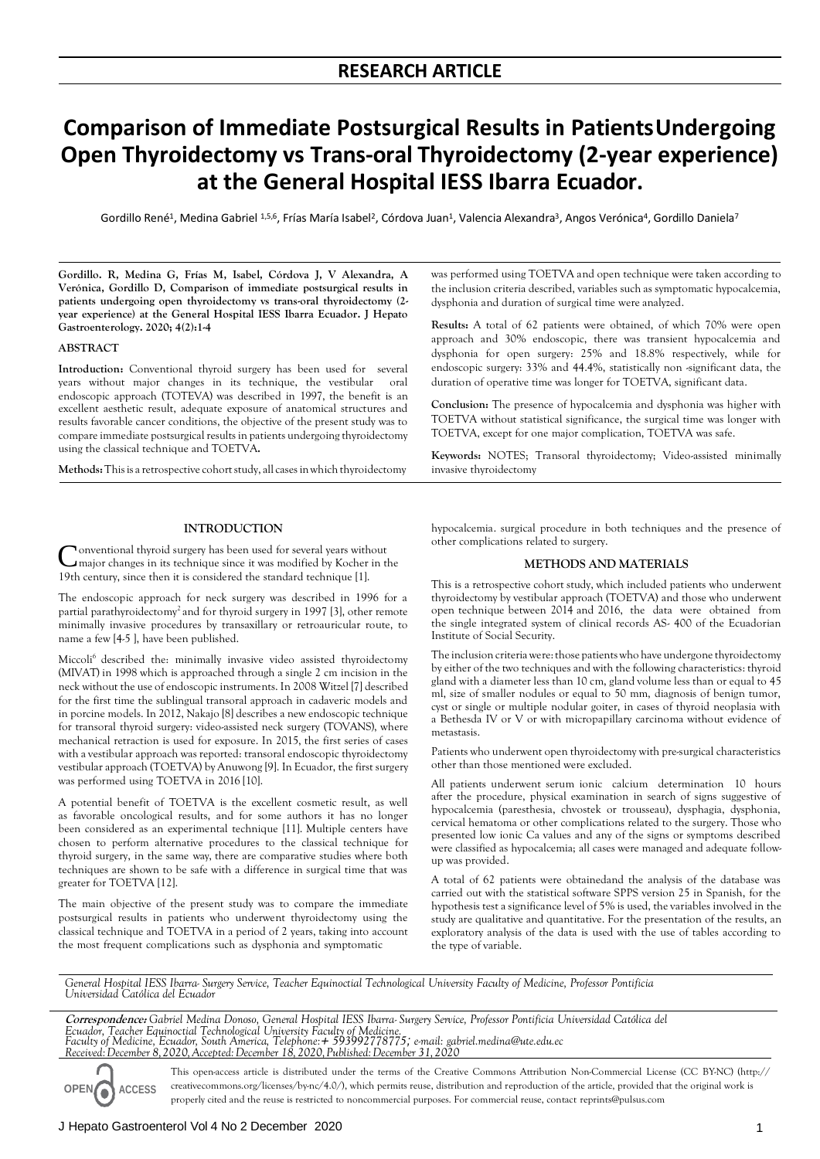## **RESEARCH ARTICLE**

# **Comparison of Immediate Postsurgical Results in PatientsUndergoing Open Thyroidectomy vs Trans-oral Thyroidectomy (2-year experience) at the General Hospital IESS Ibarra Ecuador.**

Gordillo René<sup>1</sup>, Medina Gabriel <sup>1,5,6</sup>, Frías María Isabel<sup>2</sup>, Córdova Juan<sup>1</sup>, Valencia Alexandra<sup>3</sup>, Angos Verónica<sup>4</sup>, Gordillo Daniela<sup>7</sup>

**Gordillo. R, Medina G, Frías M, Isabel, Córdova J, V Alexandra, A Verónica, Gordillo D, Comparison of immediate postsurgical results in patients undergoing open thyroidectomy vs trans-oral thyroidectomy (2 year experience) at the General Hospital IESS Ibarra Ecuador. J Hepato Gastroenterology. 2020; 4(2):1-4**

#### **ABSTRACT**

**Introduction:** Conventional thyroid surgery has been used for several years without major changes in its technique, the vestibular oral endoscopic approach (TOTEVA) was described in 1997, the benefit is an excellent aesthetic result, adequate exposure of anatomical structures and results favorable cancer conditions, the objective of the present study was to compare immediate postsurgical results in patients undergoing thyroidectomy using the classical technique and TOETVA**.**

Methods: This is a retrospective cohort study, all cases in which thyroidectomy

## **INTRODUCTION**

Conventional thyroid surgery has been used for several years without major changes in its technique since it was modified by Kocher in the onventional thyroid surgery has been used for several years without 19th century, since then it is considered the standard technique [1].

The endoscopic approach for neck surgery was described in 1996 for a partial parathyroidectomy<sup>2</sup> and for thyroid surgery in 1997 [3], other remote minimally invasive procedures by transaxillary or retroauricular route, to name a few [4-5 ], have been published.

Miccoli<sup>6</sup> described the: minimally invasive video assisted thyroidectomy (MIVAT) in 1998 which is approached through a single 2 cm incision in the neck without the use of endoscopic instruments. In 2008 Witzel [7] described for the first time the sublingual transoral approach in cadaveric models and in porcine models. In 2012, Nakajo [8] describes a new endoscopic technique for transoral thyroid surgery: video-assisted neck surgery (TOVANS), where mechanical retraction is used for exposure. In 2015, the first series of cases with a vestibular approach was reported: transoral endoscopic thyroidectomy vestibular approach (TOETVA) by Anuwong [9]. In Ecuador, the first surgery was performed using TOETVA in 2016 [10].

A potential benefit of TOETVA is the excellent cosmetic result, as well as favorable oncological results, and for some authors it has no longer been considered as an experimental technique [11]. Multiple centers have chosen to perform alternative procedures to the classical technique for thyroid surgery, in the same way, there are comparative studies where both techniques are shown to be safe with a difference in surgical time that was greater for TOETVA [12].

The main objective of the present study was to compare the immediate postsurgical results in patients who underwent thyroidectomy using the classical technique and TOETVA in a period of 2 years, taking into account the most frequent complications such as dysphonia and symptomatic

was performed using TOETVA and open technique were taken according to the inclusion criteria described, variables such as symptomatic hypocalcemia, dysphonia and duration of surgical time were analyzed.

**Results:** A total of 62 patients were obtained, of which 70% were open approach and 30% endoscopic, there was transient hypocalcemia and dysphonia for open surgery: 25% and 18.8% respectively, while for endoscopic surgery: 33% and 44.4%, statistically non -significant data, the duration of operative time was longer for TOETVA, significant data.

**Conclusion:** The presence of hypocalcemia and dysphonia was higher with TOETVA without statistical significance, the surgical time was longer with TOETVA, except for one major complication, TOETVA was safe.

**Keywords:** NOTES; Transoral thyroidectomy; Video-assisted minimally invasive thyroidectomy

hypocalcemia. surgical procedure in both techniques and the presence of other complications related to surgery.

## **METHODS AND MATERIALS**

This is a retrospective cohort study, which included patients who underwent thyroidectomy by vestibular approach (TOETVA) and those who underwent open technique between 2014 and 2016, the data were obtained from the single integrated system of clinical records AS- 400 of the Ecuadorian Institute of Social Security.

The inclusion criteria were: those patients who have undergone thyroidectomy by either of the two techniques and with the following characteristics: thyroid gland with a diameter less than 10 cm, gland volume less than or equal to 45 ml, size of smaller nodules or equal to 50 mm, diagnosis of benign tumor, cyst or single or multiple nodular goiter, in cases of thyroid neoplasia with a Bethesda IV or V or with micropapillary carcinoma without evidence of metastasis.

Patients who underwent open thyroidectomy with pre-surgical characteristics other than those mentioned were excluded.

All patients underwent serum ionic calcium determination 10 hours after the procedure, physical examination in search of signs suggestive of hypocalcemia (paresthesia, chvostek or trousseau), dysphagia, dysphonia, cervical hematoma or other complications related to the surgery. Those who presented low ionic Ca values and any of the signs or symptoms described were classified as hypocalcemia; all cases were managed and adequate followup was provided.

A total of 62 patients were obtainedand the analysis of the database was carried out with the statistical software SPPS version 25 in Spanish, for the hypothesis test a significance level of 5% is used, the variables involved in the study are qualitative and quantitative. For the presentation of the results, an exploratory analysis of the data is used with the use of tables according to the type of variable.

*General Hospital IESS Ibarra- Surgery Service, Teacher Equinoctial Technological University Faculty of Medicine, Professor Pontificia Universidad Católica del Ecuador*

**Correspondence:** *Gabriel Medina Donoso, General Hospital IESS Ibarra- Surgery Service, Professor Pontificia Universidad Católica del*  Ecuador, Teacher Equinoctial Technological University Faculty of Medicine.<br>Faculty of Medicine, Ecuador, South America, Telephone:+ 593992778775; e-mail: [gabriel.medina@ute.edu.ec](mailto:gabriel.medina@ute.edu.ec) *Received:December 8,2020,Accepted:December 18,2020,Published:December 31,2020*

This open-access article is distributed under the terms of the Creative Commons Attribution Non-Commercial License (CC BY-NC) (http:// **OPEN ACCESS** creativecommons.org/licenses/by-nc/4.0/), which permits reuse, distribution and reproduction of the article, provided that the original work is properly cited and the reuse is restricted to noncommercial purposes. For commercial reuse, contact [reprints@pulsus.com](mailto:reprints@pulsus.com)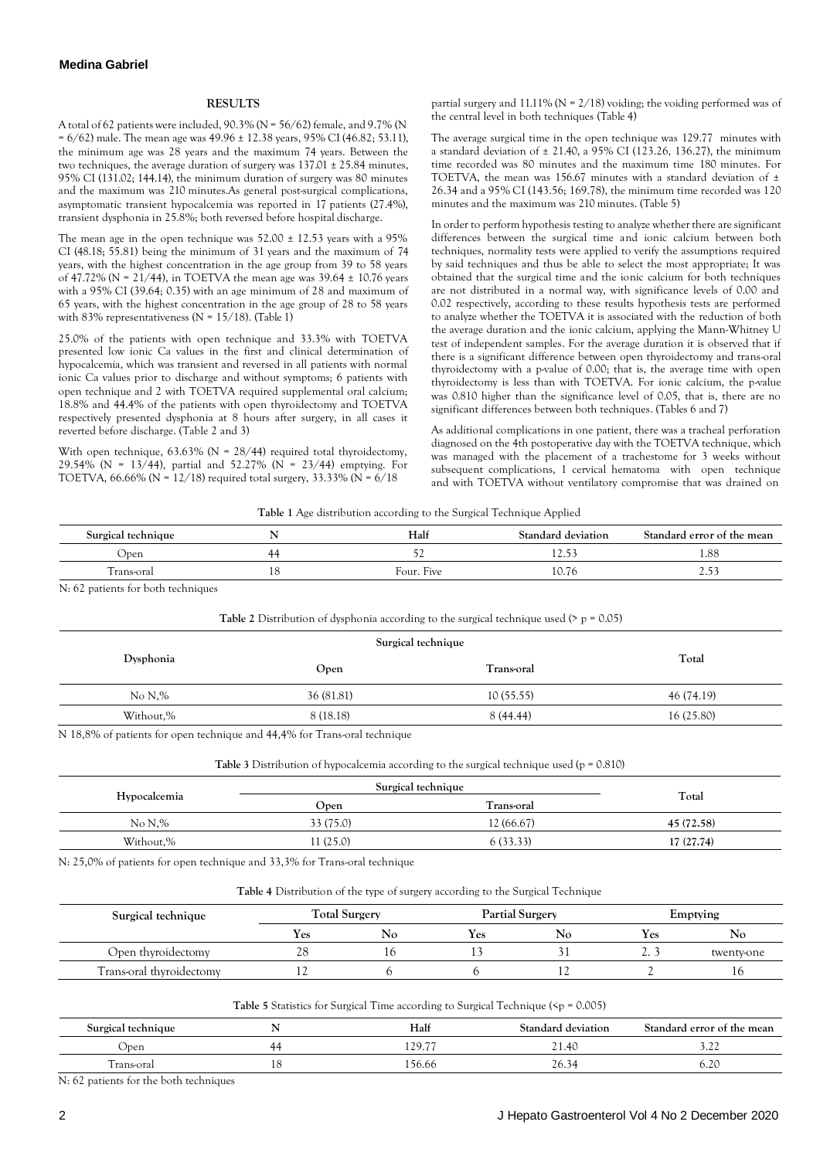#### **RESULTS**

Atotal of 62 patients were included, 90.3% (N = 56/62) female, and 9.7% (N = 6/62) male. The mean age was 49.96 ± 12.38 years, 95% CI (46.82; 53.11), the minimum age was  $28$  years and the maximum 74 years. Between the two techniques, the average duration of surgery was  $137.01 \pm 25.84$  minutes, 95% CI (131.02; 144.14), the minimum duration of surgery was 80 minutes and the maximum was 210 minutes.As general post-surgical complications, asymptomatic transient hypocalcemia was reported in 17 patients (27.4%), transient dysphonia in 25.8%; both reversed before hospital discharge.

The mean age in the open technique was  $52.00 \pm 12.53$  years with a 95% CI (48.18; 55.81) being the minimum of 31 years and the maximum of 74 years, with the highest concentration in the age group from 39 to 58 years of 47.72% (N = 21/44), in TOETVA the mean age was 39.64 ± 10.76 years with a 95% CI (39.64; 0.35) with an age minimum of 28 and maximum of 65 years, with the highest concentration in the age group of 28 to 58 years with 83% representativeness ( $N = 15/18$ ). (Table 1)

25.0% of the patients with open technique and 33.3% with TOETVA presented low ionic Ca values in the first and clinical determination of hypocalcemia, which was transient and reversed in all patients with normal ionic Ca values prior to discharge and without symptoms; 6 patients with open technique and 2 with TOETVA required supplemental oral calcium; 18.8% and 44.4% of the patients with open thyroidectomy and TOETVA respectively presented dysphonia at 8 hours after surgery, in all cases it reverted before discharge. (Table 2 and 3)

With open technique,  $63.63\%$  (N = 28/44) required total thyroidectomy, 29.54% (N = 13/44), partial and 52.27% (N = 23/44) emptying. For TOETVA,  $66.66\%$  (N = 12/18) required total surgery, 33.33% (N =  $6/18$ )

partial surgery and  $11.11\%$  (N = 2/18) voiding; the voiding performed was of the central level in both techniques (Table 4)

The average surgical time in the open technique was 129.77 minutes with a standard deviation of  $\pm$  21.40, a 95% CI (123.26, 136.27), the minimum time recorded was 80 minutes and the maximum time 180 minutes. For TOETVA, the mean was 156.67 minutes with a standard deviation of  $\pm$ 26.34 and a 95% CI (143.56; 169.78), the minimum time recorded was 120 minutes and the maximum was 210 minutes. (Table 5)

In order to perform hypothesis testing to analyze whether there are significant differences between the surgical time and ionic calcium between both techniques, normality tests were applied to verify the assumptions required by said techniques and thus be able to select the most appropriate; It was obtained that the surgical time and the ionic calcium for both techniques are not distributed in a normal way, with significance levels of 0.00 and 0.02 respectively, according to these results hypothesis tests are performed to analyze whether the TOETVA it is associated with the reduction of both the average duration and the ionic calcium, applying the Mann-Whitney U test of independent samples. For the average duration it is observed that if there is a significant difference between open thyroidectomy and trans-oral thyroidectomy with a p-value of 0.00; that is, the average time with open thyroidectomy is less than with TOETVA. For ionic calcium, the p-value was 0.810 higher than the significance level of 0.05, that is, there are no significant differences between both techniques. (Tables 6 and 7)

As additional complications in one patient, there was a tracheal perforation diagnosed on the 4th postoperative day with the TOETVA technique, which was managed with the placement of a trachestome for 3 weeks without subsequent complications, 1 cervical hematoma with open technique and with TOETVA without ventilatory compromise that was drained on

| Table 1 Age distribution according to the Surgical Technique Applied |
|----------------------------------------------------------------------|
|----------------------------------------------------------------------|

| $\sim$<br>Surgical technique |        | Half          | Standard<br>deviation             | Standard error of the mean |
|------------------------------|--------|---------------|-----------------------------------|----------------------------|
| Jpen                         | 21. ZI |               | 1 <i>.</i>                        | 1.88                       |
| rans-oral                    | 1 U    | Five<br>Four. | $\sim$<br>$\overline{ }$<br>LV.70 | ر.ء                        |

N: 62 patients for both techniques

|  | Table 2 Distribution of dysphonia according to the surgical technique used ( $> p = 0.05$ ) |
|--|---------------------------------------------------------------------------------------------|
|--|---------------------------------------------------------------------------------------------|

|           |            | Surgical technique |            |  |
|-----------|------------|--------------------|------------|--|
| Dysphonia | Open       | Trans-oral         | Total      |  |
| No N,%    | 36 (81.81) | 10(55.55)          | 46 (74.19) |  |
| Without,% | 8 (18.18)  | 8(44.44)           | 16(25.80)  |  |
|           |            |                    |            |  |

N 18,8% of patients for open technique and 44,4% for Trans-oral technique

**Table 3** Distribution of hypocalcemia according to the surgical technique used (p = 0.810)

|              | Surgical technique |             |            |
|--------------|--------------------|-------------|------------|
| Hypocalcemia | Open               | l rans-oral | Total      |
| No N.%       | 33 (75.0)          | 12 (66.67)  | 45 (72.58) |
| Without,%    | (25.0)             | ა (33.33)   | 17 (27.74) |

N: 25,0% of patients for open technique and 33,3% for Trans-oral technique

**Table 4** Distribution of the type of surgery according to the Surgical Technique

| Surgical technique       | <b>Total Surgery</b> |    | <b>Partial Surgery</b> |    | Emptying       |            |
|--------------------------|----------------------|----|------------------------|----|----------------|------------|
|                          | Yes                  | No | Y es                   | No | Yes            | Nc         |
| Open thyroidectomy       |                      | 10 |                        |    | $\overline{a}$ | twenty-one |
| Trans-oral thyroidectomy |                      |    |                        |    |                |            |

| <b>Table 5</b> Statistics for Surgical Time according to Surgical Technique ( $\epsilon$ p = 0.005) |
|-----------------------------------------------------------------------------------------------------|
|                                                                                                     |

| Surgical technique |    | Half                     | Standard deviation | Standard error of the mean |
|--------------------|----|--------------------------|--------------------|----------------------------|
| Open               | 44 | 129.77<br>$\overline{1}$ | 21.4C              | . . <u>.</u>               |
| rans-oral          | ∸  | 156.66                   | 26.3<br>℩⊿         | ے د                        |

N: 62 patients for the both techniques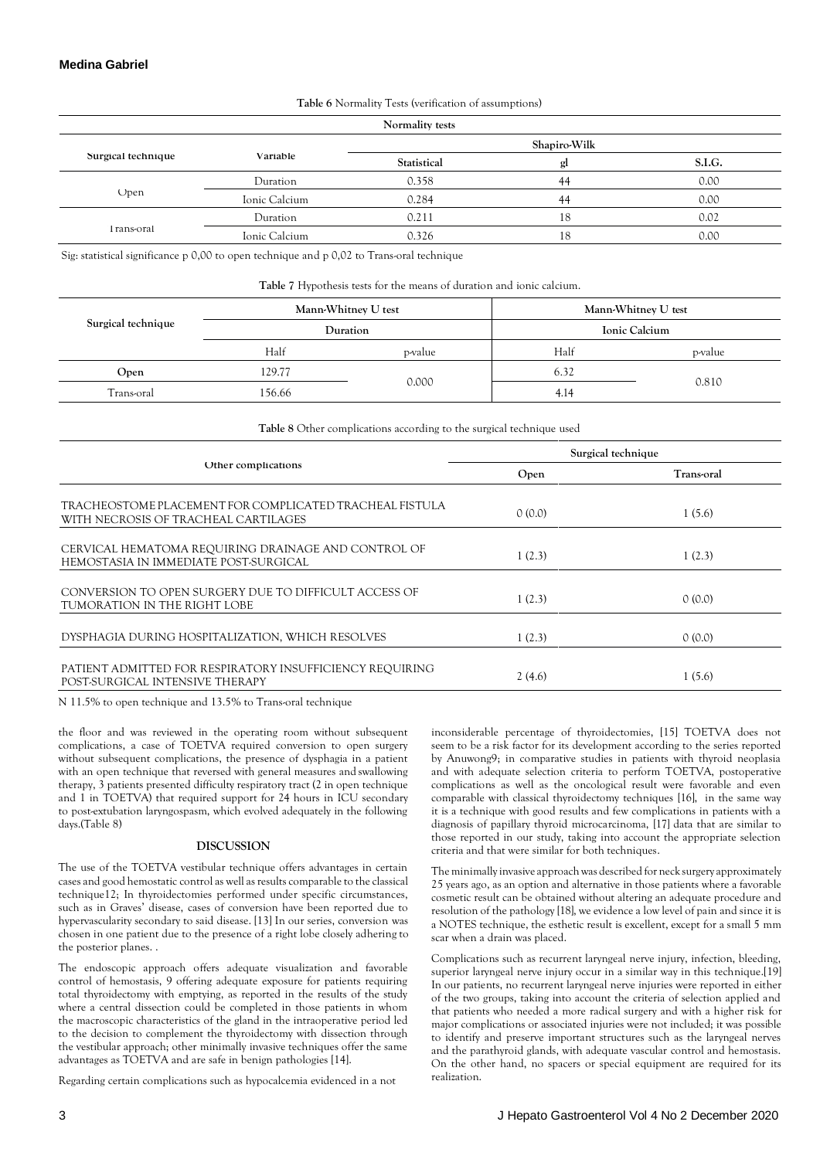## **Medina Gabriel**

**Table 6** Normality Tests (verification of assumptions)

| Normality tests    |               |              |    |        |  |
|--------------------|---------------|--------------|----|--------|--|
|                    |               | Shapiro-Wilk |    |        |  |
| Surgical technique | Variable      | Statistical  | gl | S.I.G. |  |
|                    | Duration      | 0.358        | 44 | 0.00   |  |
| Open               | Ionic Calcium | 0.284        | 44 | 0.00   |  |
|                    | Duration      | 0.211        | 18 | 0.02   |  |
| I rans-oral        | Ionic Calcium | 0.326        | 18 | 0.00   |  |

Sig: statistical significance p 0,00 to open technique and p 0,02 to Trans-oral technique

**Table 7** Hypothesis tests for the means of duration and ionic calcium.

|                    | Mann-Whitney U test |         | Mann-Whitney U test |         |
|--------------------|---------------------|---------|---------------------|---------|
| Surgical technique | Duration            |         | Ionic Calcium       |         |
|                    | Half                | p-value | Half                | p-value |
| Open               | 129.77              | 0.000   | 6.32                |         |
| Trans-oral         | 156.66              |         | 4.14                | 0.810   |

**Table 8** Other complications according to the surgical technique used

|                                                                                                 | Surgical technique |            |  |
|-------------------------------------------------------------------------------------------------|--------------------|------------|--|
| Other complications                                                                             | Open               | Trans-oral |  |
| TRACHEOSTOME PLACEMENT FOR COMPLICATED TRACHEAL FISTULA<br>WITH NECROSIS OF TRACHEAL CARTILAGES | 0(0.0)             | 1(5.6)     |  |
| CERVICAL HEMATOMA REQUIRING DRAINAGE AND CONTROL OF<br>HEMOSTASIA IN IMMEDIATE POST-SURGICAL    | 1(2.3)             | 1(2.3)     |  |
| CONVERSION TO OPEN SURGERY DUE TO DIFFICULT ACCESS OF<br>TUMORATION IN THE RIGHT LOBE           | 1(2.3)             | 0(0.0)     |  |
| DYSPHAGIA DURING HOSPITALIZATION, WHICH RESOLVES                                                | 1(2.3)             | 0(0.0)     |  |
| PATIENT ADMITTED FOR RESPIRATORY INSUFFICIENCY REQUIRING<br>POST-SURGICAL INTENSIVE THERAPY     | 2(4.6)             | 1(5.6)     |  |

N 11.5% to open technique and 13.5% to Trans-oral technique

the floor and was reviewed in the operating room without subsequent complications, a case of TOETVA required conversion to open surgery without subsequent complications, the presence of dysphagia in a patient with an open technique that reversed with general measures and swallowing therapy, 3 patients presented difficulty respiratory tract (2 in open technique and 1 in TOETVA) that required support for 24 hours in ICU secondary to post-extubation laryngospasm, which evolved adequately in the following days.(Table 8)

### **DISCUSSION**

The use of the TOETVA vestibular technique offers advantages in certain cases and good hemostatic control as well as results comparable to the classical technique12; In thyroidectomies performed under specific circumstances, such as in Graves' disease, cases of conversion have been reported due to hypervascularity secondary to said disease. [13] In our series, conversion was chosen in one patient due to the presence of a right lobe closely adhering to the posterior planes. .

The endoscopic approach offers adequate visualization and favorable control of hemostasis, 9 offering adequate exposure for patients requiring total thyroidectomy with emptying, as reported in the results of the study where a central dissection could be completed in those patients in whom the macroscopic characteristics of the gland in the intraoperative period led to the decision to complement the thyroidectomy with dissection through the vestibular approach; other minimally invasive techniques offer the same advantages as TOETVA and are safe in benign pathologies [14].

Regarding certain complications such as hypocalcemia evidenced in a not

inconsiderable percentage of thyroidectomies, [15] TOETVA does not seem to be a risk factor for its development according to the series reported by Anuwong9; in comparative studies in patients with thyroid neoplasia and with adequate selection criteria to perform TOETVA, postoperative complications as well as the oncological result were favorable and even comparable with classical thyroidectomy techniques [16], in the same way it is a technique with good results and few complications in patients with a diagnosis of papillary thyroid microcarcinoma, [17] data that are similar to those reported in our study, taking into account the appropriate selection criteria and that were similar for both techniques.

The minimally invasive approach was described for neck surgery approximately 25 years ago, as an option and alternative in those patients where a favorable cosmetic result can be obtained without altering an adequate procedure and resolution of the pathology [18], we evidence a low level of pain and since it is a NOTES technique, the esthetic result is excellent, except for a small 5 mm scar when a drain was placed.

Complications such as recurrent laryngeal nerve injury, infection, bleeding, superior laryngeal nerve injury occur in a similar way in this technique.[19] In our patients, no recurrent laryngeal nerve injuries were reported in either of the two groups, taking into account the criteria of selection applied and that patients who needed a more radical surgery and with a higher risk for major complications or associated injuries were not included; it was possible to identify and preserve important structures such as the laryngeal nerves and the parathyroid glands, with adequate vascular control and hemostasis. On the other hand, no spacers or special equipment are required for its realization.